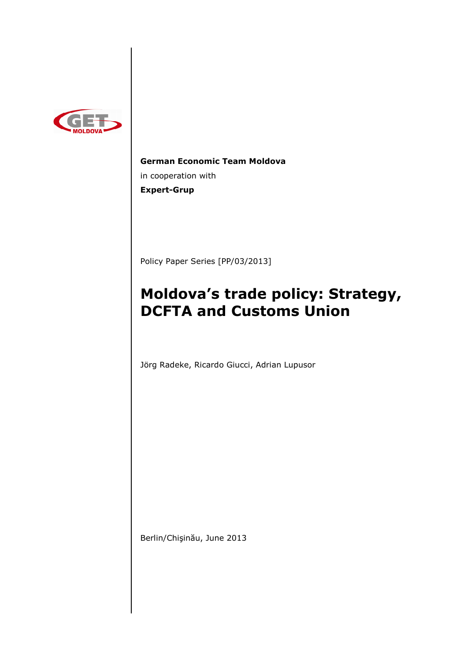

**German Economic Team Moldova**  in cooperation with **Expert-Grup** 

Policy Paper Series [PP/03/2013]

# **Moldova's trade policy: Strategy, DCFTA and Customs Union**

Jörg Radeke, Ricardo Giucci, Adrian Lupusor

Berlin/Chişinău, June 2013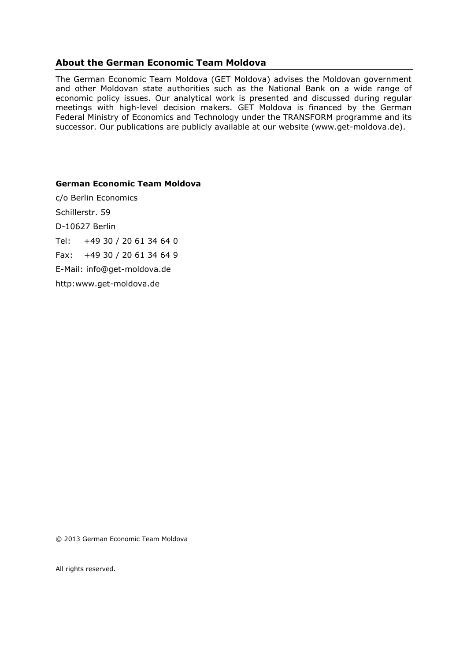# **About the German Economic Team Moldova**

The German Economic Team Moldova (GET Moldova) advises the Moldovan government and other Moldovan state authorities such as the National Bank on a wide range of economic policy issues. Our analytical work is presented and discussed during regular meetings with high-level decision makers. GET Moldova is financed by the German Federal Ministry of Economics and Technology under the TRANSFORM programme and its successor. Our publications are publicly available at our website (www.get-moldova.de).

#### **German Economic Team Moldova**

c/o Berlin Economics Schillerstr. 59 D-10627 Berlin Tel: +49 30 / 20 61 34 64 0 Fax: +49 30 / 20 61 34 64 9 E-Mail: info@get-moldova.de http:www.get-moldova.de

© 2013 German Economic Team Moldova

All rights reserved.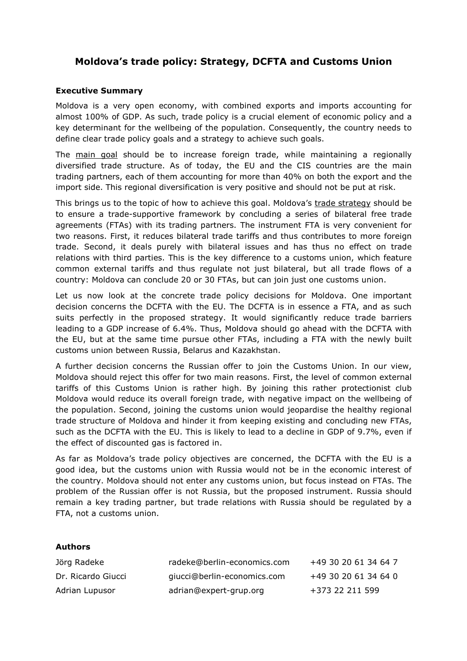# **Moldova's trade policy: Strategy, DCFTA and Customs Union**

### **Executive Summary**

Moldova is a very open economy, with combined exports and imports accounting for almost 100% of GDP. As such, trade policy is a crucial element of economic policy and a key determinant for the wellbeing of the population. Consequently, the country needs to define clear trade policy goals and a strategy to achieve such goals.

The main goal should be to increase foreign trade, while maintaining a regionally diversified trade structure. As of today, the EU and the CIS countries are the main trading partners, each of them accounting for more than 40% on both the export and the import side. This regional diversification is very positive and should not be put at risk.

This brings us to the topic of how to achieve this goal. Moldova's trade strategy should be to ensure a trade-supportive framework by concluding a series of bilateral free trade agreements (FTAs) with its trading partners. The instrument FTA is very convenient for two reasons. First, it reduces bilateral trade tariffs and thus contributes to more foreign trade. Second, it deals purely with bilateral issues and has thus no effect on trade relations with third parties. This is the key difference to a customs union, which feature common external tariffs and thus regulate not just bilateral, but all trade flows of a country: Moldova can conclude 20 or 30 FTAs, but can join just one customs union.

Let us now look at the concrete trade policy decisions for Moldova. One important decision concerns the DCFTA with the EU. The DCFTA is in essence a FTA, and as such suits perfectly in the proposed strategy. It would significantly reduce trade barriers leading to a GDP increase of 6.4%. Thus, Moldova should go ahead with the DCFTA with the EU, but at the same time pursue other FTAs, including a FTA with the newly built customs union between Russia, Belarus and Kazakhstan.

A further decision concerns the Russian offer to join the Customs Union. In our view, Moldova should reject this offer for two main reasons. First, the level of common external tariffs of this Customs Union is rather high. By joining this rather protectionist club Moldova would reduce its overall foreign trade, with negative impact on the wellbeing of the population. Second, joining the customs union would jeopardise the healthy regional trade structure of Moldova and hinder it from keeping existing and concluding new FTAs, such as the DCFTA with the EU. This is likely to lead to a decline in GDP of 9.7%, even if the effect of discounted gas is factored in.

As far as Moldova's trade policy objectives are concerned, the DCFTA with the EU is a good idea, but the customs union with Russia would not be in the economic interest of the country. Moldova should not enter any customs union, but focus instead on FTAs. The problem of the Russian offer is not Russia, but the proposed instrument. Russia should remain a key trading partner, but trade relations with Russia should be regulated by a FTA, not a customs union.

#### **Authors**

| Jörg Radeke        | radeke@berlin-economics.com | +49 30 20 61 34 64 7 |
|--------------------|-----------------------------|----------------------|
| Dr. Ricardo Giucci | giucci@berlin-economics.com | +49 30 20 61 34 64 0 |
| Adrian Lupusor     | adrian@expert-grup.org      | +373 22 211 599      |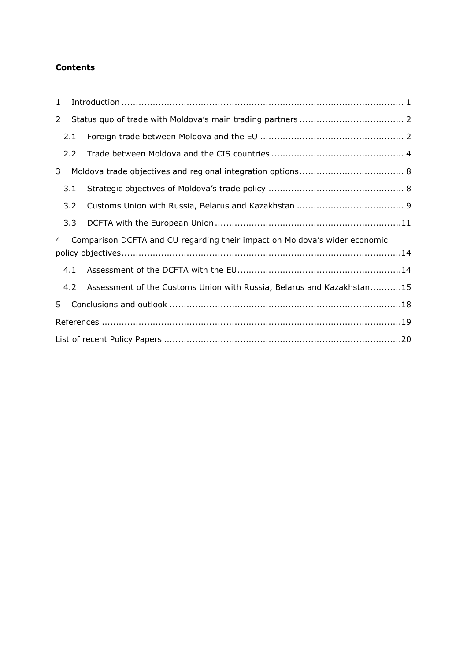# **Contents**

| $\mathbf{1}$   |     |                                                                            |
|----------------|-----|----------------------------------------------------------------------------|
| $\overline{2}$ |     |                                                                            |
|                | 2.1 |                                                                            |
|                | 2.2 |                                                                            |
| 3              |     |                                                                            |
|                | 3.1 |                                                                            |
|                | 3.2 |                                                                            |
|                | 3.3 |                                                                            |
| $\overline{4}$ |     | Comparison DCFTA and CU regarding their impact on Moldova's wider economic |
|                |     |                                                                            |
|                | 4.1 |                                                                            |
|                | 4.2 | Assessment of the Customs Union with Russia, Belarus and Kazakhstan15      |
| 5              |     |                                                                            |
|                |     |                                                                            |
|                |     |                                                                            |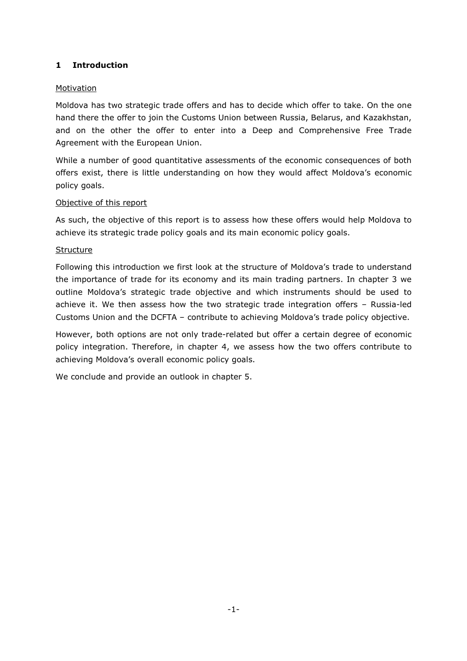## **1 Introduction**

## Motivation

Moldova has two strategic trade offers and has to decide which offer to take. On the one hand there the offer to join the Customs Union between Russia, Belarus, and Kazakhstan, and on the other the offer to enter into a Deep and Comprehensive Free Trade Agreement with the European Union.

While a number of good quantitative assessments of the economic consequences of both offers exist, there is little understanding on how they would affect Moldova's economic policy goals.

## Objective of this report

As such, the objective of this report is to assess how these offers would help Moldova to achieve its strategic trade policy goals and its main economic policy goals.

## **Structure**

Following this introduction we first look at the structure of Moldova's trade to understand the importance of trade for its economy and its main trading partners. In chapter 3 we outline Moldova's strategic trade objective and which instruments should be used to achieve it. We then assess how the two strategic trade integration offers – Russia-led Customs Union and the DCFTA – contribute to achieving Moldova's trade policy objective.

However, both options are not only trade-related but offer a certain degree of economic policy integration. Therefore, in chapter 4, we assess how the two offers contribute to achieving Moldova's overall economic policy goals.

We conclude and provide an outlook in chapter 5.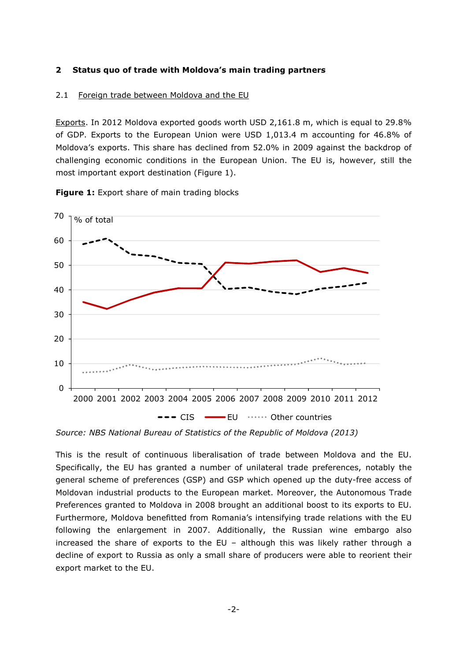#### **2 Status quo of trade with Moldova's main trading partners**

#### 2.1 Foreign trade between Moldova and the EU

Exports. In 2012 Moldova exported goods worth USD 2,161.8 m, which is equal to 29.8% of GDP. Exports to the European Union were USD 1,013.4 m accounting for 46.8% of Moldova's exports. This share has declined from 52.0% in 2009 against the backdrop of challenging economic conditions in the European Union. The EU is, however, still the most important export destination (Figure 1).

**Figure 1:** Export share of main trading blocks



*Source: NBS National Bureau of Statistics of the Republic of Moldova (2013)* 

This is the result of continuous liberalisation of trade between Moldova and the EU. Specifically, the EU has granted a number of unilateral trade preferences, notably the general scheme of preferences (GSP) and GSP which opened up the duty-free access of Moldovan industrial products to the European market. Moreover, the Autonomous Trade Preferences granted to Moldova in 2008 brought an additional boost to its exports to EU. Furthermore, Moldova benefitted from Romania's intensifying trade relations with the EU following the enlargement in 2007. Additionally, the Russian wine embargo also increased the share of exports to the EU – although this was likely rather through a decline of export to Russia as only a small share of producers were able to reorient their export market to the EU.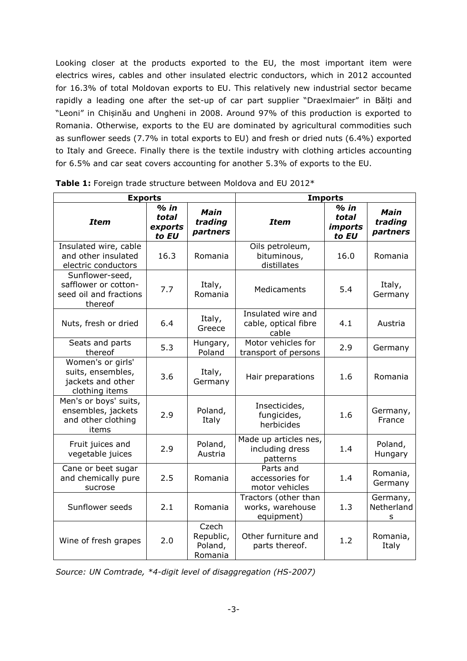Looking closer at the products exported to the EU, the most important item were electrics wires, cables and other insulated electric conductors, which in 2012 accounted for 16.3% of total Moldovan exports to EU. This relatively new industrial sector became rapidly a leading one after the set-up of car part supplier "Draexlmaier" in Bălți and "Leoni" in Chișinău and Ungheni in 2008. Around 97% of this production is exported to Romania. Otherwise, exports to the EU are dominated by agricultural commodities such as sunflower seeds (7.7% in total exports to EU) and fresh or dried nuts (6.4%) exported to Italy and Greece. Finally there is the textile industry with clothing articles accounting for 6.5% and car seat covers accounting for another 5.3% of exports to the EU.

| <b>Exports</b>                                                                |                                     |                                          | <b>Imports</b>                                         |                                                   |                             |
|-------------------------------------------------------------------------------|-------------------------------------|------------------------------------------|--------------------------------------------------------|---------------------------------------------------|-----------------------------|
| <b>Item</b>                                                                   | $%$ in<br>total<br>exports<br>to EU | Main<br>trading<br>partners              | <b>Item</b>                                            | $%$ in<br>total<br><i><b>imports</b></i><br>to EU | Main<br>trading<br>partners |
| Insulated wire, cable<br>and other insulated<br>electric conductors           | 16.3                                | Romania                                  | Oils petroleum,<br>bituminous,<br>distillates          | 16.0                                              | Romania                     |
| Sunflower-seed,<br>safflower or cotton-<br>seed oil and fractions<br>thereof  | 7.7                                 | Italy,<br>Romania                        | Medicaments                                            | 5.4                                               | Italy,<br>Germany           |
| Nuts, fresh or dried                                                          | 6.4                                 | Italy,<br>Greece                         | Insulated wire and<br>cable, optical fibre<br>cable    | 4.1                                               | Austria                     |
| Seats and parts<br>thereof                                                    | 5.3                                 | Hungary,<br>Poland                       | Motor vehicles for<br>transport of persons             | 2.9                                               | Germany                     |
| Women's or girls'<br>suits, ensembles,<br>jackets and other<br>clothing items | 3.6                                 | Italy,<br>Germany                        | Hair preparations                                      | 1.6                                               | Romania                     |
| Men's or boys' suits,<br>ensembles, jackets<br>and other clothing<br>items    | 2.9                                 | Poland,<br>Italy                         | Insecticides,<br>fungicides,<br>herbicides             | 1.6                                               | Germany,<br>France          |
| Fruit juices and<br>vegetable juices                                          | 2.9                                 | Poland,<br>Austria                       | Made up articles nes,<br>including dress<br>patterns   | 1.4                                               | Poland,<br>Hungary          |
| Cane or beet sugar<br>and chemically pure<br>sucrose                          | 2.5                                 | Romania                                  | Parts and<br>accessories for<br>motor vehicles         | 1.4                                               | Romania,<br>Germany         |
| Sunflower seeds                                                               | 2.1                                 | Romania                                  | Tractors (other than<br>works, warehouse<br>equipment) | 1.3                                               | Germany,<br>Netherland<br>s |
| Wine of fresh grapes                                                          | 2.0                                 | Czech<br>Republic,<br>Poland,<br>Romania | Other furniture and<br>parts thereof.                  | 1.2                                               | Romania,<br>Italy           |

**Table 1:** Foreign trade structure between Moldova and EU 2012\*

*Source: UN Comtrade, \*4-digit level of disaggregation (HS-2007)*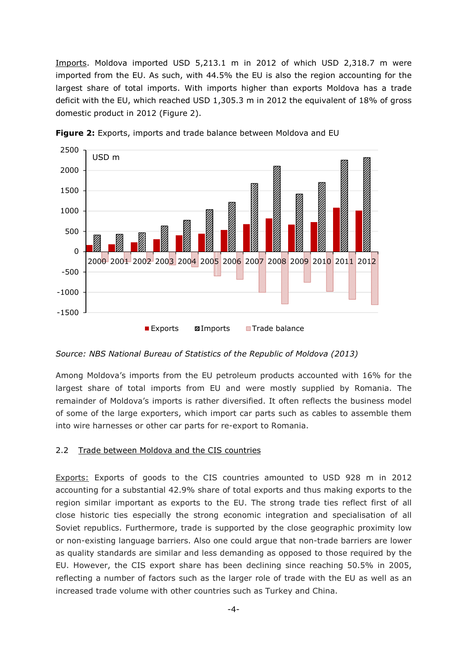Imports. Moldova imported USD 5,213.1 m in 2012 of which USD 2,318.7 m were imported from the EU. As such, with 44.5% the EU is also the region accounting for the largest share of total imports. With imports higher than exports Moldova has a trade deficit with the EU, which reached USD 1,305.3 m in 2012 the equivalent of 18% of gross domestic product in 2012 (Figure 2).



**Figure 2:** Exports, imports and trade balance between Moldova and EU

*Source: NBS National Bureau of Statistics of the Republic of Moldova (2013)* 

Among Moldova's imports from the EU petroleum products accounted with 16% for the largest share of total imports from EU and were mostly supplied by Romania. The remainder of Moldova's imports is rather diversified. It often reflects the business model of some of the large exporters, which import car parts such as cables to assemble them into wire harnesses or other car parts for re-export to Romania.

## 2.2 Trade between Moldova and the CIS countries

Exports: Exports of goods to the CIS countries amounted to USD 928 m in 2012 accounting for a substantial 42.9% share of total exports and thus making exports to the region similar important as exports to the EU. The strong trade ties reflect first of all close historic ties especially the strong economic integration and specialisation of all Soviet republics. Furthermore, trade is supported by the close geographic proximity low or non-existing language barriers. Also one could argue that non-trade barriers are lower as quality standards are similar and less demanding as opposed to those required by the EU. However, the CIS export share has been declining since reaching 50.5% in 2005, reflecting a number of factors such as the larger role of trade with the EU as well as an increased trade volume with other countries such as Turkey and China.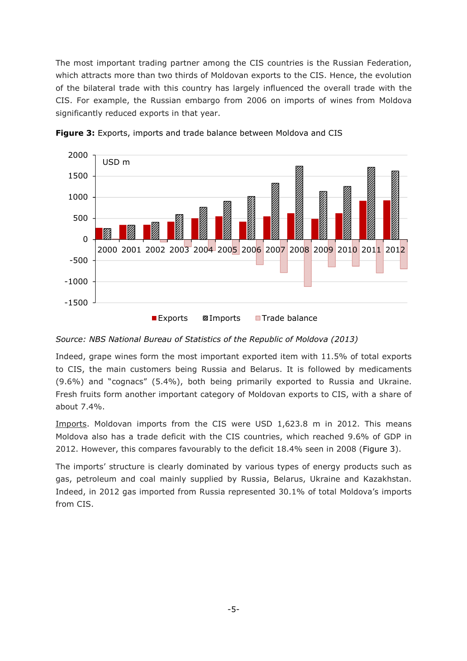The most important trading partner among the CIS countries is the Russian Federation, which attracts more than two thirds of Moldovan exports to the CIS. Hence, the evolution of the bilateral trade with this country has largely influenced the overall trade with the CIS. For example, the Russian embargo from 2006 on imports of wines from Moldova significantly reduced exports in that year.



**Figure 3:** Exports, imports and trade balance between Moldova and CIS

*Source: NBS National Bureau of Statistics of the Republic of Moldova (2013)*

Indeed, grape wines form the most important exported item with 11.5% of total exports to CIS, the main customers being Russia and Belarus. It is followed by medicaments (9.6%) and "cognacs" (5.4%), both being primarily exported to Russia and Ukraine. Fresh fruits form another important category of Moldovan exports to CIS, with a share of about 7.4%.

Imports. Moldovan imports from the CIS were USD 1,623.8 m in 2012. This means Moldova also has a trade deficit with the CIS countries, which reached 9.6% of GDP in 2012. However, this compares favourably to the deficit 18.4% seen in 2008 (Figure 3).

The imports' structure is clearly dominated by various types of energy products such as gas, petroleum and coal mainly supplied by Russia, Belarus, Ukraine and Kazakhstan. Indeed, in 2012 gas imported from Russia represented 30.1% of total Moldova's imports from CIS.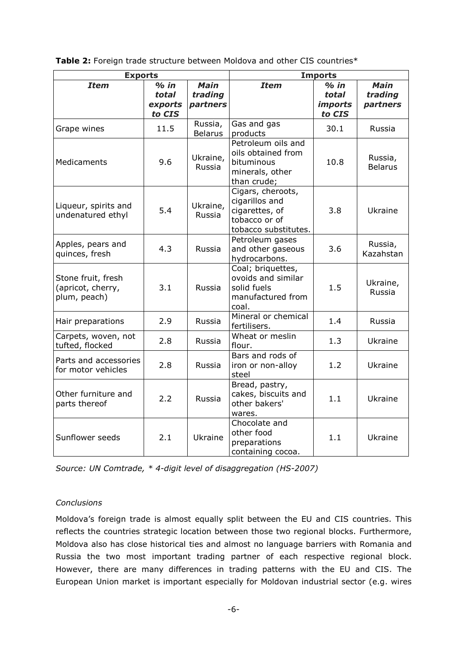**Table 2:** Foreign trade structure between Moldova and other CIS countries\*

| <b>Exports</b>                                          |                                      |                                    | <b>Imports</b>                                                                                 |                                             |                                    |
|---------------------------------------------------------|--------------------------------------|------------------------------------|------------------------------------------------------------------------------------------------|---------------------------------------------|------------------------------------|
| <b>Item</b>                                             | $%$ in<br>total<br>exports<br>to CIS | <b>Main</b><br>trading<br>partners | <b>Item</b>                                                                                    | $%$ in<br>total<br><i>imports</i><br>to CIS | <b>Main</b><br>trading<br>partners |
| Grape wines                                             | 11.5                                 | Russia,<br><b>Belarus</b>          | Gas and gas<br>products                                                                        | 30.1                                        | Russia                             |
| Medicaments                                             | 9.6                                  | Ukraine,<br>Russia                 | Petroleum oils and<br>oils obtained from<br>bituminous<br>minerals, other<br>than crude;       | 10.8                                        | Russia,<br><b>Belarus</b>          |
| Liqueur, spirits and<br>undenatured ethyl               | 5.4                                  | Ukraine,<br>Russia                 | Cigars, cheroots,<br>cigarillos and<br>cigarettes, of<br>tobacco or of<br>tobacco substitutes. | 3.8                                         | Ukraine                            |
| Apples, pears and<br>quinces, fresh                     | 4.3                                  | Russia                             | Petroleum gases<br>and other gaseous<br>hydrocarbons.                                          | 3.6                                         | Russia,<br>Kazahstan               |
| Stone fruit, fresh<br>(apricot, cherry,<br>plum, peach) | 3.1                                  | Russia                             | Coal; briquettes,<br>ovoids and similar<br>solid fuels<br>manufactured from<br>coal.           | 1.5                                         | Ukraine,<br>Russia                 |
| Hair preparations                                       | 2.9                                  | Russia                             | Mineral or chemical<br>fertilisers.                                                            | 1.4                                         | Russia                             |
| Carpets, woven, not<br>tufted, flocked                  | 2.8                                  | Russia                             | Wheat or meslin<br>flour.                                                                      | 1.3                                         | Ukraine                            |
| Parts and accessories<br>for motor vehicles             | 2.8                                  | Russia                             | Bars and rods of<br>iron or non-alloy<br>steel                                                 | 1.2                                         | Ukraine                            |
| Other furniture and<br>parts thereof                    | 2.2                                  | Russia                             | Bread, pastry,<br>cakes, biscuits and<br>other bakers'<br>wares.                               | 1.1                                         | Ukraine                            |
| Sunflower seeds                                         | 2.1                                  | Ukraine                            | Chocolate and<br>other food<br>preparations<br>containing cocoa.                               | 1.1                                         | Ukraine                            |

*Source: UN Comtrade, \* 4-digit level of disaggregation (HS-2007)* 

# *Conclusions*

Moldova's foreign trade is almost equally split between the EU and CIS countries. This reflects the countries strategic location between those two regional blocks. Furthermore, Moldova also has close historical ties and almost no language barriers with Romania and Russia the two most important trading partner of each respective regional block. However, there are many differences in trading patterns with the EU and CIS. The European Union market is important especially for Moldovan industrial sector (e.g. wires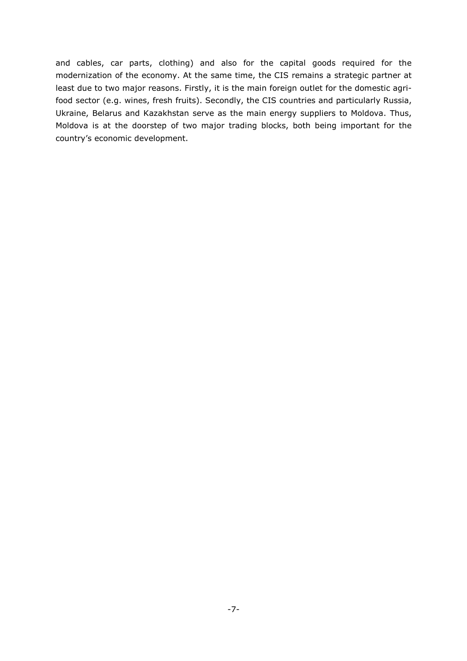and cables, car parts, clothing) and also for the capital goods required for the modernization of the economy. At the same time, the CIS remains a strategic partner at least due to two major reasons. Firstly, it is the main foreign outlet for the domestic agrifood sector (e.g. wines, fresh fruits). Secondly, the CIS countries and particularly Russia, Ukraine, Belarus and Kazakhstan serve as the main energy suppliers to Moldova. Thus, Moldova is at the doorstep of two major trading blocks, both being important for the country's economic development.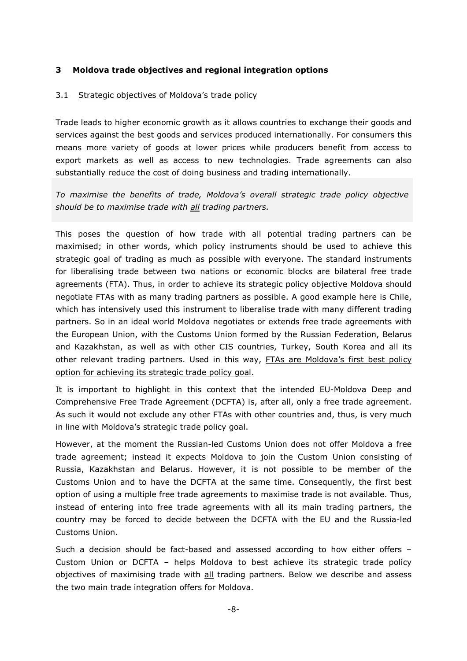## **3 Moldova trade objectives and regional integration options**

## 3.1 Strategic objectives of Moldova's trade policy

Trade leads to higher economic growth as it allows countries to exchange their goods and services against the best goods and services produced internationally. For consumers this means more variety of goods at lower prices while producers benefit from access to export markets as well as access to new technologies. Trade agreements can also substantially reduce the cost of doing business and trading internationally.

*To maximise the benefits of trade, Moldova's overall strategic trade policy objective should be to maximise trade with all trading partners.* 

This poses the question of how trade with all potential trading partners can be maximised; in other words, which policy instruments should be used to achieve this strategic goal of trading as much as possible with everyone. The standard instruments for liberalising trade between two nations or economic blocks are bilateral free trade agreements (FTA). Thus, in order to achieve its strategic policy objective Moldova should negotiate FTAs with as many trading partners as possible. A good example here is Chile, which has intensively used this instrument to liberalise trade with many different trading partners. So in an ideal world Moldova negotiates or extends free trade agreements with the European Union, with the Customs Union formed by the Russian Federation, Belarus and Kazakhstan, as well as with other CIS countries, Turkey, South Korea and all its other relevant trading partners. Used in this way, FTAs are Moldova's first best policy option for achieving its strategic trade policy goal.

It is important to highlight in this context that the intended EU-Moldova Deep and Comprehensive Free Trade Agreement (DCFTA) is, after all, only a free trade agreement. As such it would not exclude any other FTAs with other countries and, thus, is very much in line with Moldova's strategic trade policy goal.

However, at the moment the Russian-led Customs Union does not offer Moldova a free trade agreement; instead it expects Moldova to join the Custom Union consisting of Russia, Kazakhstan and Belarus. However, it is not possible to be member of the Customs Union and to have the DCFTA at the same time. Consequently, the first best option of using a multiple free trade agreements to maximise trade is not available. Thus, instead of entering into free trade agreements with all its main trading partners, the country may be forced to decide between the DCFTA with the EU and the Russia-led Customs Union.

Such a decision should be fact-based and assessed according to how either offers – Custom Union or DCFTA – helps Moldova to best achieve its strategic trade policy objectives of maximising trade with all trading partners. Below we describe and assess the two main trade integration offers for Moldova.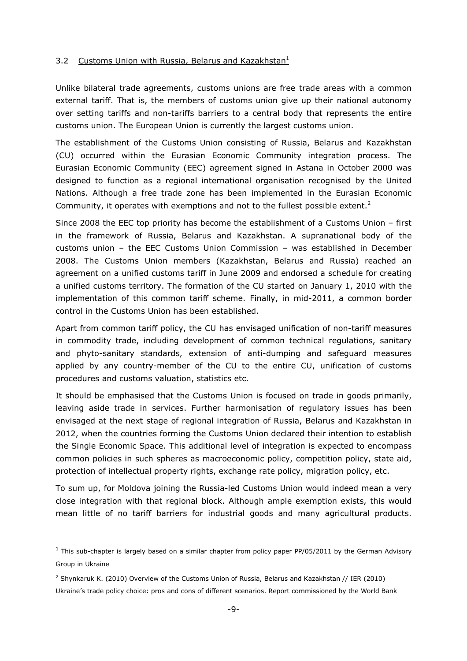#### 3.2 Customs Union with Russia, Belarus and Kazakhstan<sup>1</sup>

Unlike bilateral trade agreements, customs unions are free trade areas with a common external tariff. That is, the members of customs union give up their national autonomy over setting tariffs and non-tariffs barriers to a central body that represents the entire customs union. The European Union is currently the largest customs union.

The establishment of the Customs Union consisting of Russia, Belarus and Kazakhstan (CU) occurred within the Eurasian Economic Community integration process. The Eurasian Economic Community (EEC) agreement signed in Astana in October 2000 was designed to function as a regional international organisation recognised by the United Nations. Although a free trade zone has been implemented in the Eurasian Economic Community, it operates with exemptions and not to the fullest possible extent.<sup>2</sup>

Since 2008 the EEC top priority has become the establishment of a Customs Union – first in the framework of Russia, Belarus and Kazakhstan. A supranational body of the customs union – the EEC Customs Union Commission – was established in December 2008. The Customs Union members (Kazakhstan, Belarus and Russia) reached an agreement on a unified customs tariff in June 2009 and endorsed a schedule for creating a unified customs territory. The formation of the CU started on January 1, 2010 with the implementation of this common tariff scheme. Finally, in mid-2011, a common border control in the Customs Union has been established.

Apart from common tariff policy, the CU has envisaged unification of non-tariff measures in commodity trade, including development of common technical regulations, sanitary and phyto-sanitary standards, extension of anti-dumping and safeguard measures applied by any country-member of the CU to the entire CU, unification of customs procedures and customs valuation, statistics etc.

It should be emphasised that the Customs Union is focused on trade in goods primarily, leaving aside trade in services. Further harmonisation of regulatory issues has been envisaged at the next stage of regional integration of Russia, Belarus and Kazakhstan in 2012, when the countries forming the Customs Union declared their intention to establish the Single Economic Space. This additional level of integration is expected to encompass common policies in such spheres as macroeconomic policy, competition policy, state aid, protection of intellectual property rights, exchange rate policy, migration policy, etc.

To sum up, for Moldova joining the Russia-led Customs Union would indeed mean a very close integration with that regional block. Although ample exemption exists, this would mean little of no tariff barriers for industrial goods and many agricultural products.

i,

 $^1$  This sub-chapter is largely based on a similar chapter from policy paper PP/05/2011 by the German Advisory Group in Ukraine

<sup>2</sup> Shynkaruk K. (2010) Overview of the Customs Union of Russia, Belarus and Kazakhstan // IER (2010) Ukraine's trade policy choice: pros and cons of different scenarios. Report commissioned by the World Bank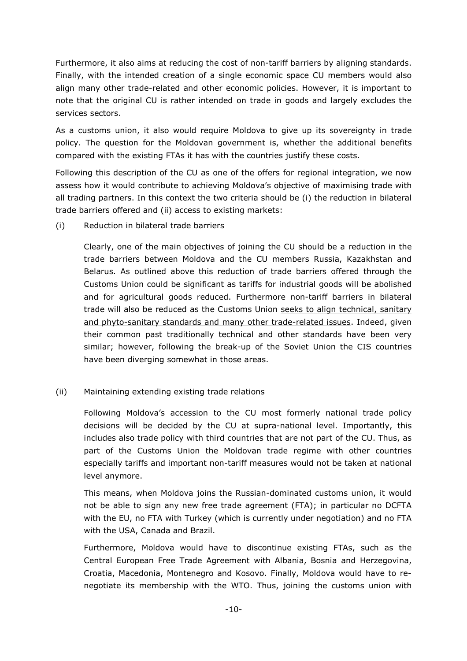Furthermore, it also aims at reducing the cost of non-tariff barriers by aligning standards. Finally, with the intended creation of a single economic space CU members would also align many other trade-related and other economic policies. However, it is important to note that the original CU is rather intended on trade in goods and largely excludes the services sectors.

As a customs union, it also would require Moldova to give up its sovereignty in trade policy. The question for the Moldovan government is, whether the additional benefits compared with the existing FTAs it has with the countries justify these costs.

Following this description of the CU as one of the offers for regional integration, we now assess how it would contribute to achieving Moldova's objective of maximising trade with all trading partners. In this context the two criteria should be (i) the reduction in bilateral trade barriers offered and (ii) access to existing markets:

(i) Reduction in bilateral trade barriers

Clearly, one of the main objectives of joining the CU should be a reduction in the trade barriers between Moldova and the CU members Russia, Kazakhstan and Belarus. As outlined above this reduction of trade barriers offered through the Customs Union could be significant as tariffs for industrial goods will be abolished and for agricultural goods reduced. Furthermore non-tariff barriers in bilateral trade will also be reduced as the Customs Union seeks to align technical, sanitary and phyto-sanitary standards and many other trade-related issues. Indeed, given their common past traditionally technical and other standards have been very similar; however, following the break-up of the Soviet Union the CIS countries have been diverging somewhat in those areas.

(ii) Maintaining extending existing trade relations

Following Moldova's accession to the CU most formerly national trade policy decisions will be decided by the CU at supra-national level. Importantly, this includes also trade policy with third countries that are not part of the CU. Thus, as part of the Customs Union the Moldovan trade regime with other countries especially tariffs and important non-tariff measures would not be taken at national level anymore.

This means, when Moldova joins the Russian-dominated customs union, it would not be able to sign any new free trade agreement (FTA); in particular no DCFTA with the EU, no FTA with Turkey (which is currently under negotiation) and no FTA with the USA, Canada and Brazil.

Furthermore, Moldova would have to discontinue existing FTAs, such as the Central European Free Trade Agreement with Albania, Bosnia and Herzegovina, Croatia, Macedonia, Montenegro and Kosovo. Finally, Moldova would have to renegotiate its membership with the WTO. Thus, joining the customs union with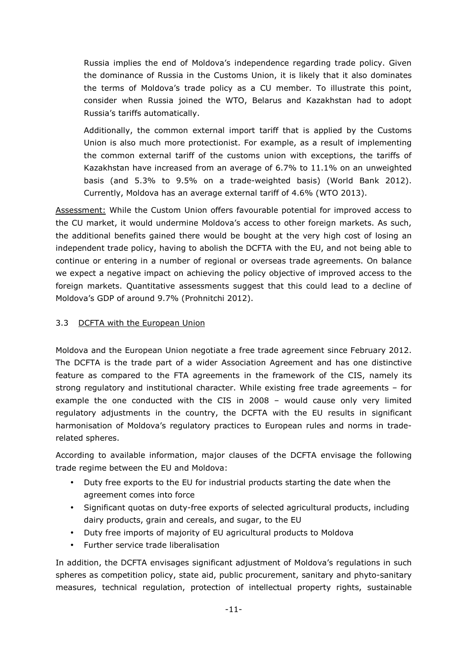Russia implies the end of Moldova's independence regarding trade policy. Given the dominance of Russia in the Customs Union, it is likely that it also dominates the terms of Moldova's trade policy as a CU member. To illustrate this point, consider when Russia joined the WTO, Belarus and Kazakhstan had to adopt Russia's tariffs automatically.

Additionally, the common external import tariff that is applied by the Customs Union is also much more protectionist. For example, as a result of implementing the common external tariff of the customs union with exceptions, the tariffs of Kazakhstan have increased from an average of 6.7% to 11.1% on an unweighted basis (and 5.3% to 9.5% on a trade-weighted basis) (World Bank 2012). Currently, Moldova has an average external tariff of 4.6% (WTO 2013).

Assessment: While the Custom Union offers favourable potential for improved access to the CU market, it would undermine Moldova's access to other foreign markets. As such, the additional benefits gained there would be bought at the very high cost of losing an independent trade policy, having to abolish the DCFTA with the EU, and not being able to continue or entering in a number of regional or overseas trade agreements. On balance we expect a negative impact on achieving the policy objective of improved access to the foreign markets. Quantitative assessments suggest that this could lead to a decline of Moldova's GDP of around 9.7% (Prohnitchi 2012).

# 3.3 DCFTA with the European Union

Moldova and the European Union negotiate a free trade agreement since February 2012. The DCFTA is the trade part of a wider Association Agreement and has one distinctive feature as compared to the FTA agreements in the framework of the CIS, namely its strong regulatory and institutional character. While existing free trade agreements – for example the one conducted with the CIS in 2008 – would cause only very limited regulatory adjustments in the country, the DCFTA with the EU results in significant harmonisation of Moldova's regulatory practices to European rules and norms in traderelated spheres.

According to available information, major clauses of the DCFTA envisage the following trade regime between the EU and Moldova:

- Duty free exports to the EU for industrial products starting the date when the agreement comes into force
- Significant quotas on duty-free exports of selected agricultural products, including dairy products, grain and cereals, and sugar, to the EU
- Duty free imports of majority of EU agricultural products to Moldova
- Further service trade liberalisation

In addition, the DCFTA envisages significant adjustment of Moldova's regulations in such spheres as competition policy, state aid, public procurement, sanitary and phyto-sanitary measures, technical regulation, protection of intellectual property rights, sustainable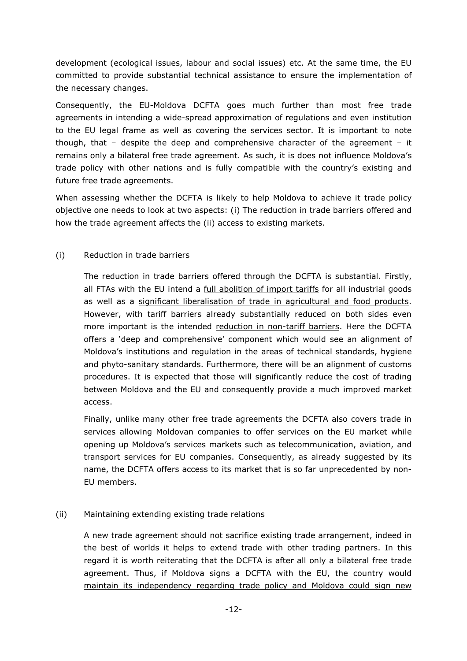development (ecological issues, labour and social issues) etc. At the same time, the EU committed to provide substantial technical assistance to ensure the implementation of the necessary changes.

Consequently, the EU-Moldova DCFTA goes much further than most free trade agreements in intending a wide-spread approximation of regulations and even institution to the EU legal frame as well as covering the services sector. It is important to note though, that  $-$  despite the deep and comprehensive character of the agreement  $-$  it remains only a bilateral free trade agreement. As such, it is does not influence Moldova's trade policy with other nations and is fully compatible with the country's existing and future free trade agreements.

When assessing whether the DCFTA is likely to help Moldova to achieve it trade policy objective one needs to look at two aspects: (i) The reduction in trade barriers offered and how the trade agreement affects the (ii) access to existing markets.

## (i) Reduction in trade barriers

The reduction in trade barriers offered through the DCFTA is substantial. Firstly, all FTAs with the EU intend a full abolition of import tariffs for all industrial goods as well as a significant liberalisation of trade in agricultural and food products. However, with tariff barriers already substantially reduced on both sides even more important is the intended reduction in non-tariff barriers. Here the DCFTA offers a 'deep and comprehensive' component which would see an alignment of Moldova's institutions and regulation in the areas of technical standards, hygiene and phyto-sanitary standards. Furthermore, there will be an alignment of customs procedures. It is expected that those will significantly reduce the cost of trading between Moldova and the EU and consequently provide a much improved market access.

Finally, unlike many other free trade agreements the DCFTA also covers trade in services allowing Moldovan companies to offer services on the EU market while opening up Moldova's services markets such as telecommunication, aviation, and transport services for EU companies. Consequently, as already suggested by its name, the DCFTA offers access to its market that is so far unprecedented by non-EU members.

# (ii) Maintaining extending existing trade relations

A new trade agreement should not sacrifice existing trade arrangement, indeed in the best of worlds it helps to extend trade with other trading partners. In this regard it is worth reiterating that the DCFTA is after all only a bilateral free trade agreement. Thus, if Moldova signs a DCFTA with the EU, the country would maintain its independency regarding trade policy and Moldova could sign new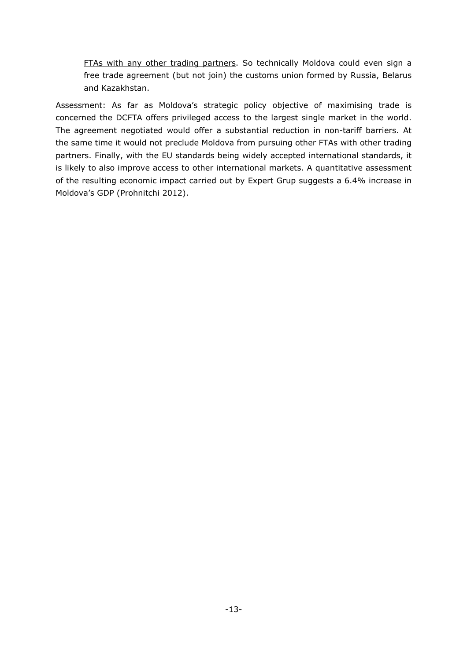FTAs with any other trading partners. So technically Moldova could even sign a free trade agreement (but not join) the customs union formed by Russia, Belarus and Kazakhstan.

Assessment: As far as Moldova's strategic policy objective of maximising trade is concerned the DCFTA offers privileged access to the largest single market in the world. The agreement negotiated would offer a substantial reduction in non-tariff barriers. At the same time it would not preclude Moldova from pursuing other FTAs with other trading partners. Finally, with the EU standards being widely accepted international standards, it is likely to also improve access to other international markets. A quantitative assessment of the resulting economic impact carried out by Expert Grup suggests a 6.4% increase in Moldova's GDP (Prohnitchi 2012).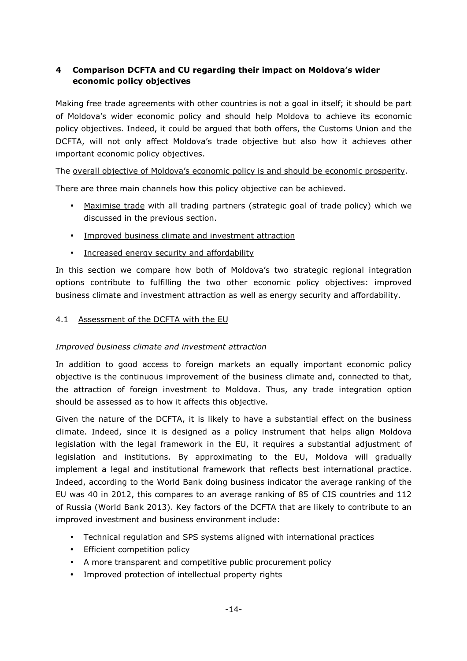# **4 Comparison DCFTA and CU regarding their impact on Moldova's wider economic policy objectives**

Making free trade agreements with other countries is not a goal in itself; it should be part of Moldova's wider economic policy and should help Moldova to achieve its economic policy objectives. Indeed, it could be argued that both offers, the Customs Union and the DCFTA, will not only affect Moldova's trade objective but also how it achieves other important economic policy objectives.

The overall objective of Moldova's economic policy is and should be economic prosperity.

There are three main channels how this policy objective can be achieved.

- Maximise trade with all trading partners (strategic goal of trade policy) which we discussed in the previous section.
- Improved business climate and investment attraction
- Increased energy security and affordability

In this section we compare how both of Moldova's two strategic regional integration options contribute to fulfilling the two other economic policy objectives: improved business climate and investment attraction as well as energy security and affordability.

# 4.1 Assessment of the DCFTA with the EU

# *Improved business climate and investment attraction*

In addition to good access to foreign markets an equally important economic policy objective is the continuous improvement of the business climate and, connected to that, the attraction of foreign investment to Moldova. Thus, any trade integration option should be assessed as to how it affects this objective.

Given the nature of the DCFTA, it is likely to have a substantial effect on the business climate. Indeed, since it is designed as a policy instrument that helps align Moldova legislation with the legal framework in the EU, it requires a substantial adjustment of legislation and institutions. By approximating to the EU, Moldova will gradually implement a legal and institutional framework that reflects best international practice. Indeed, according to the World Bank doing business indicator the average ranking of the EU was 40 in 2012, this compares to an average ranking of 85 of CIS countries and 112 of Russia (World Bank 2013). Key factors of the DCFTA that are likely to contribute to an improved investment and business environment include:

- Technical regulation and SPS systems aligned with international practices
- Efficient competition policy
- A more transparent and competitive public procurement policy
- Improved protection of intellectual property rights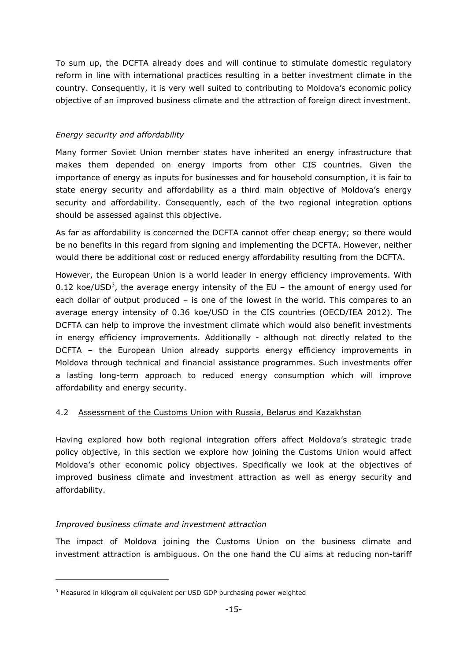To sum up, the DCFTA already does and will continue to stimulate domestic regulatory reform in line with international practices resulting in a better investment climate in the country. Consequently, it is very well suited to contributing to Moldova's economic policy objective of an improved business climate and the attraction of foreign direct investment.

# *Energy security and affordability*

Many former Soviet Union member states have inherited an energy infrastructure that makes them depended on energy imports from other CIS countries. Given the importance of energy as inputs for businesses and for household consumption, it is fair to state energy security and affordability as a third main objective of Moldova's energy security and affordability. Consequently, each of the two regional integration options should be assessed against this objective.

As far as affordability is concerned the DCFTA cannot offer cheap energy; so there would be no benefits in this regard from signing and implementing the DCFTA. However, neither would there be additional cost or reduced energy affordability resulting from the DCFTA.

However, the European Union is a world leader in energy efficiency improvements. With 0.12 koe/USD<sup>3</sup>, the average energy intensity of the EU – the amount of energy used for each dollar of output produced – is one of the lowest in the world. This compares to an average energy intensity of 0.36 koe/USD in the CIS countries (OECD/IEA 2012). The DCFTA can help to improve the investment climate which would also benefit investments in energy efficiency improvements. Additionally - although not directly related to the DCFTA – the European Union already supports energy efficiency improvements in Moldova through technical and financial assistance programmes. Such investments offer a lasting long-term approach to reduced energy consumption which will improve affordability and energy security.

# 4.2 Assessment of the Customs Union with Russia, Belarus and Kazakhstan

Having explored how both regional integration offers affect Moldova's strategic trade policy objective, in this section we explore how joining the Customs Union would affect Moldova's other economic policy objectives. Specifically we look at the objectives of improved business climate and investment attraction as well as energy security and affordability.

# *Improved business climate and investment attraction*

-

The impact of Moldova joining the Customs Union on the business climate and investment attraction is ambiguous. On the one hand the CU aims at reducing non-tariff

<sup>&</sup>lt;sup>3</sup> Measured in kilogram oil equivalent per USD GDP purchasing power weighted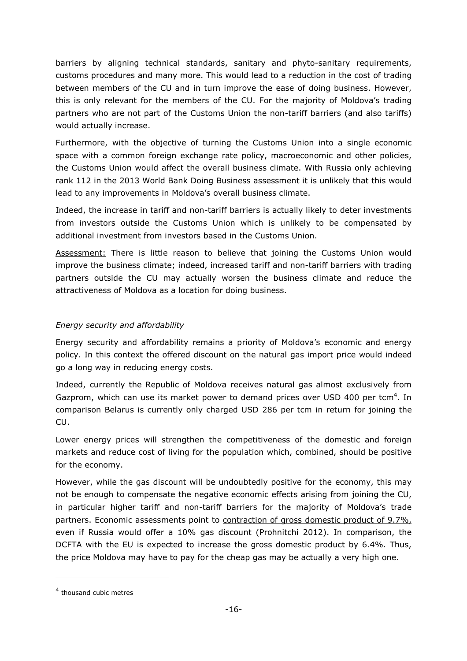barriers by aligning technical standards, sanitary and phyto-sanitary requirements, customs procedures and many more. This would lead to a reduction in the cost of trading between members of the CU and in turn improve the ease of doing business. However, this is only relevant for the members of the CU. For the majority of Moldova's trading partners who are not part of the Customs Union the non-tariff barriers (and also tariffs) would actually increase.

Furthermore, with the objective of turning the Customs Union into a single economic space with a common foreign exchange rate policy, macroeconomic and other policies, the Customs Union would affect the overall business climate. With Russia only achieving rank 112 in the 2013 World Bank Doing Business assessment it is unlikely that this would lead to any improvements in Moldova's overall business climate.

Indeed, the increase in tariff and non-tariff barriers is actually likely to deter investments from investors outside the Customs Union which is unlikely to be compensated by additional investment from investors based in the Customs Union.

Assessment: There is little reason to believe that joining the Customs Union would improve the business climate; indeed, increased tariff and non-tariff barriers with trading partners outside the CU may actually worsen the business climate and reduce the attractiveness of Moldova as a location for doing business.

# *Energy security and affordability*

Energy security and affordability remains a priority of Moldova's economic and energy policy. In this context the offered discount on the natural gas import price would indeed go a long way in reducing energy costs.

Indeed, currently the Republic of Moldova receives natural gas almost exclusively from Gazprom, which can use its market power to demand prices over USD 400 per tcm<sup>4</sup>. In comparison Belarus is currently only charged USD 286 per tcm in return for joining the CU.

Lower energy prices will strengthen the competitiveness of the domestic and foreign markets and reduce cost of living for the population which, combined, should be positive for the economy.

However, while the gas discount will be undoubtedly positive for the economy, this may not be enough to compensate the negative economic effects arising from joining the CU, in particular higher tariff and non-tariff barriers for the majority of Moldova's trade partners. Economic assessments point to contraction of gross domestic product of 9.7%, even if Russia would offer a 10% gas discount (Prohnitchi 2012). In comparison, the DCFTA with the EU is expected to increase the gross domestic product by 6.4%. Thus, the price Moldova may have to pay for the cheap gas may be actually a very high one.

i,

<sup>&</sup>lt;sup>4</sup> thousand cubic metres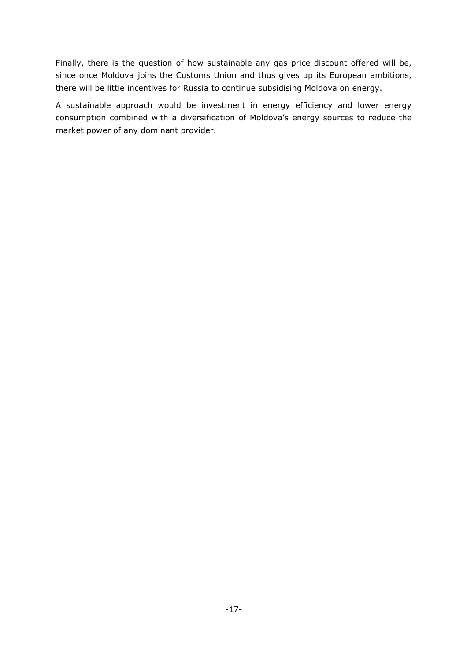Finally, there is the question of how sustainable any gas price discount offered will be, since once Moldova joins the Customs Union and thus gives up its European ambitions, there will be little incentives for Russia to continue subsidising Moldova on energy.

A sustainable approach would be investment in energy efficiency and lower energy consumption combined with a diversification of Moldova's energy sources to reduce the market power of any dominant provider.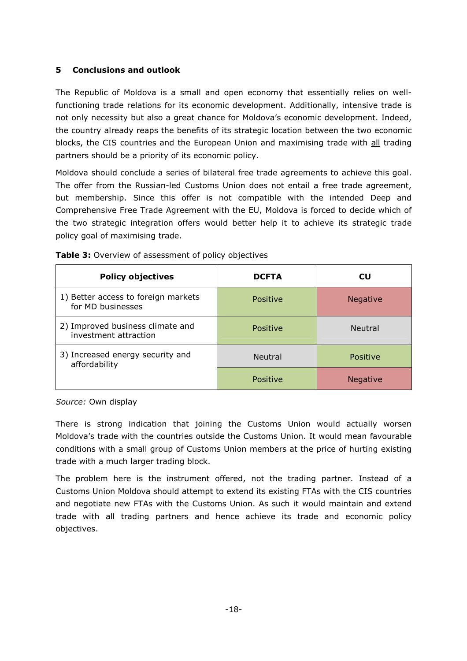# **5 Conclusions and outlook**

The Republic of Moldova is a small and open economy that essentially relies on wellfunctioning trade relations for its economic development. Additionally, intensive trade is not only necessity but also a great chance for Moldova's economic development. Indeed, the country already reaps the benefits of its strategic location between the two economic blocks, the CIS countries and the European Union and maximising trade with all trading partners should be a priority of its economic policy.

Moldova should conclude a series of bilateral free trade agreements to achieve this goal. The offer from the Russian-led Customs Union does not entail a free trade agreement, but membership. Since this offer is not compatible with the intended Deep and Comprehensive Free Trade Agreement with the EU, Moldova is forced to decide which of the two strategic integration offers would better help it to achieve its strategic trade policy goal of maximising trade.

| <b>Policy objectives</b>                                  | <b>DCFTA</b>   | CU              |
|-----------------------------------------------------------|----------------|-----------------|
| 1) Better access to foreign markets<br>for MD businesses  | Positive       | Negative        |
| 2) Improved business climate and<br>investment attraction | Positive       | <b>Neutral</b>  |
| 3) Increased energy security and<br>affordability         | <b>Neutral</b> | Positive        |
|                                                           | Positive       | <b>Negative</b> |

**Table 3:** Overview of assessment of policy objectives

*Source:* Own display

There is strong indication that joining the Customs Union would actually worsen Moldova's trade with the countries outside the Customs Union. It would mean favourable conditions with a small group of Customs Union members at the price of hurting existing trade with a much larger trading block.

The problem here is the instrument offered, not the trading partner. Instead of a Customs Union Moldova should attempt to extend its existing FTAs with the CIS countries and negotiate new FTAs with the Customs Union. As such it would maintain and extend trade with all trading partners and hence achieve its trade and economic policy objectives.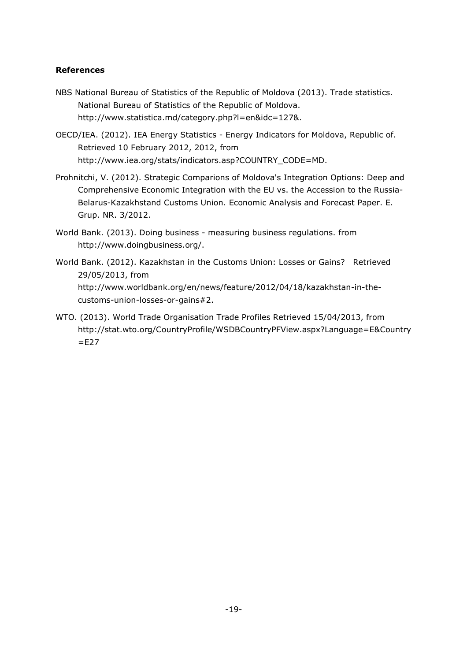## **References**

- NBS National Bureau of Statistics of the Republic of Moldova (2013). Trade statistics. National Bureau of Statistics of the Republic of Moldova. http://www.statistica.md/category.php?l=en&idc=127&.
- OECD/IEA. (2012). IEA Energy Statistics Energy Indicators for Moldova, Republic of. Retrieved 10 February 2012, 2012, from http://www.iea.org/stats/indicators.asp?COUNTRY\_CODE=MD.
- Prohnitchi, V. (2012). Strategic Comparions of Moldova's Integration Options: Deep and Comprehensive Economic Integration with the EU vs. the Accession to the Russia-Belarus-Kazakhstand Customs Union. Economic Analysis and Forecast Paper. E. Grup. NR. 3/2012.
- World Bank. (2013). Doing business measuring business regulations. from http://www.doingbusiness.org/.
- World Bank. (2012). Kazakhstan in the Customs Union: Losses or Gains? Retrieved 29/05/2013, from http://www.worldbank.org/en/news/feature/2012/04/18/kazakhstan-in-thecustoms-union-losses-or-gains#2.
- WTO. (2013). World Trade Organisation Trade Profiles Retrieved 15/04/2013, from http://stat.wto.org/CountryProfile/WSDBCountryPFView.aspx?Language=E&Country  $=$ E27